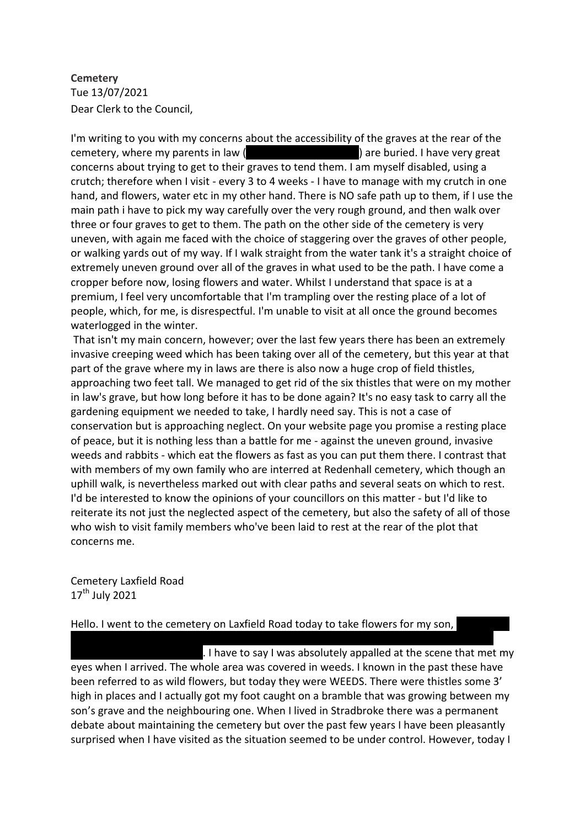# **Cemetery** Tue 13/07/2021 Dear Clerk to the Council,

I'm writing to you with my concerns about the accessibility of the graves at the rear of the cemetery, where my parents in law (Albert and Anne Towley) are buried. I have very great concerns about trying to get to their graves to tend them. I am myself disabled, using a crutch; therefore when I visit - every 3 to 4 weeks - I have to manage with my crutch in one hand, and flowers, water etc in my other hand. There is NO safe path up to them, if I use the main path i have to pick my way carefully over the very rough ground, and then walk over three or four graves to get to them. The path on the other side of the cemetery is very uneven, with again me faced with the choice of staggering over the graves of other people, or walking yards out of my way. If I walk straight from the water tank it's a straight choice of extremely uneven ground over all of the graves in what used to be the path. I have come a cropper before now, losing flowers and water. Whilst I understand that space is at a premium, I feel very uncomfortable that I'm trampling over the resting place of a lot of people, which, for me, is disrespectful. I'm unable to visit at all once the ground becomes waterlogged in the winter.

That isn't my main concern, however; over the last few years there has been an extremely invasive creeping weed which has been taking over all of the cemetery, but this year at that part of the grave where my in laws are there is also now a huge crop of field thistles, approaching two feet tall. We managed to get rid of the six thistles that were on my mother in law's grave, but how long before it has to be done again? It's no easy task to carry all the gardening equipment we needed to take, I hardly need say. This is not a case of conservation but is approaching neglect. On your website page you promise a resting place of peace, but it is nothing less than a battle for me - against the uneven ground, invasive weeds and rabbits - which eat the flowers as fast as you can put them there. I contrast that with members of my own family who are interred at Redenhall cemetery, which though an uphill walk, is nevertheless marked out with clear paths and several seats on which to rest. I'd be interested to know the opinions of your councillors on this matter - but I'd like to reiterate its not just the neglected aspect of the cemetery, but also the safety of all of those who wish to visit family members who've been laid to rest at the rear of the plot that concerns me.

Cemetery Laxfield Road  $17^{\text{th}}$  July 2021

### Hello. I went to the cemetery on Laxfield Road today to take flowers for my son,

. I have to say I was absolutely appalled at the scene that met my eyes when I arrived. The whole area was covered in weeds. I known in the past these have been referred to as wild flowers, but today they were WEEDS. There were thistles some 3' high in places and I actually got my foot caught on a bramble that was growing between my son's grave and the neighbouring one. When I lived in Stradbroke there was a permanent debate about maintaining the cemetery but over the past few years I have been pleasantly surprised when I have visited as the situation seemed to be under control. However, today I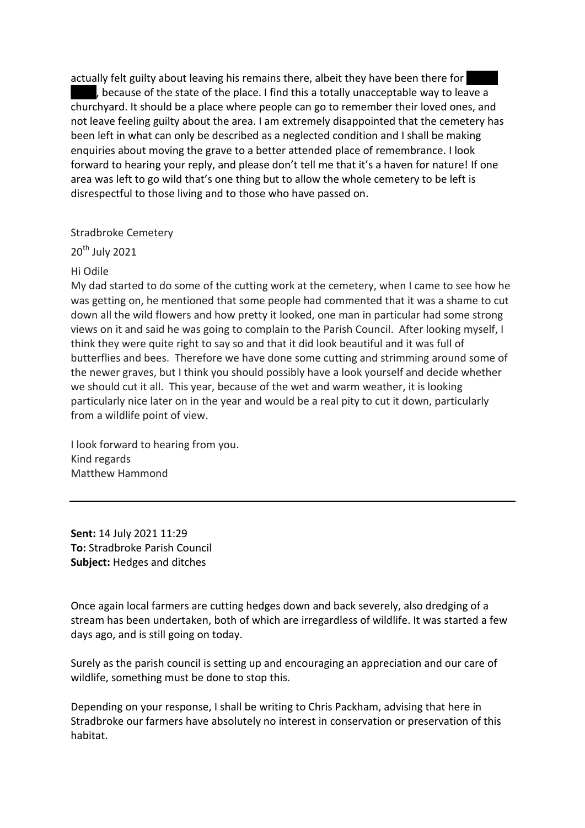actually felt guilty about leaving his remains there, albeit they have been there for , because of the state of the place. I find this a totally unacceptable way to leave a churchyard. It should be a place where people can go to remember their loved ones, and not leave feeling guilty about the area. I am extremely disappointed that the cemetery has been left in what can only be described as a neglected condition and I shall be making enquiries about moving the grave to a better attended place of remembrance. I look forward to hearing your reply, and please don't tell me that it's a haven for nature! If one area was left to go wild that's one thing but to allow the whole cemetery to be left is disrespectful to those living and to those who have passed on.

## Stradbroke Cemetery

20th July 2021

### Hi Odile

My dad started to do some of the cutting work at the cemetery, when I came to see how he was getting on, he mentioned that some people had commented that it was a shame to cut down all the wild flowers and how pretty it looked, one man in particular had some strong views on it and said he was going to complain to the Parish Council. After looking myself, I think they were quite right to say so and that it did look beautiful and it was full of butterflies and bees. Therefore we have done some cutting and strimming around some of the newer graves, but I think you should possibly have a look yourself and decide whether we should cut it all. This year, because of the wet and warm weather, it is looking particularly nice later on in the year and would be a real pity to cut it down, particularly from a wildlife point of view.

I look forward to hearing from you. Kind regards Matthew Hammond

**Sent:** 14 July 2021 11:29 **To:** Stradbroke Parish Council **Subject:** Hedges and ditches

Once again local farmers are cutting hedges down and back severely, also dredging of a stream has been undertaken, both of which are irregardless of wildlife. It was started a few days ago, and is still going on today.

Surely as the parish council is setting up and encouraging an appreciation and our care of wildlife, something must be done to stop this.

Depending on your response, I shall be writing to Chris Packham, advising that here in Stradbroke our farmers have absolutely no interest in conservation or preservation of this habitat.